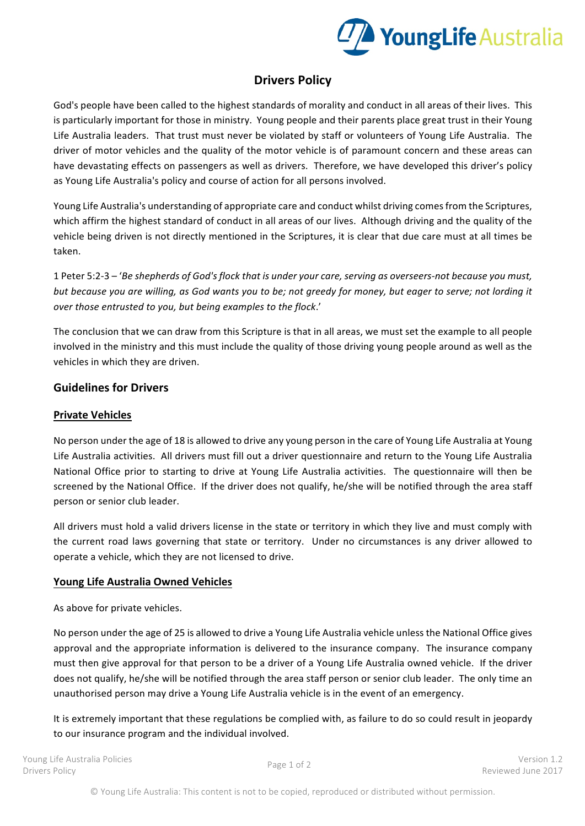

# **Drivers Policy**

God's people have been called to the highest standards of morality and conduct in all areas of their lives. This is particularly important for those in ministry. Young people and their parents place great trust in their Young Life Australia leaders. That trust must never be violated by staff or volunteers of Young Life Australia. The driver of motor vehicles and the quality of the motor vehicle is of paramount concern and these areas can have devastating effects on passengers as well as drivers. Therefore, we have developed this driver's policy as Young Life Australia's policy and course of action for all persons involved.

Young Life Australia's understanding of appropriate care and conduct whilst driving comes from the Scriptures, which affirm the highest standard of conduct in all areas of our lives. Although driving and the quality of the vehicle being driven is not directly mentioned in the Scriptures, it is clear that due care must at all times be taken.

1 Peter 5:2-3 – '*Be shepherds of God's flock that is under your care, serving as overseers-not because you must, but* because you are willing, as God wants you to be; not greedy for money, but eager to serve; not lording it *over those entrusted to you, but being examples to the flock.'* 

The conclusion that we can draw from this Scripture is that in all areas, we must set the example to all people involved in the ministry and this must include the quality of those driving young people around as well as the vehicles in which they are driven.

## **Guidelines for Drivers**

### **Private Vehicles**

No person under the age of 18 is allowed to drive any young person in the care of Young Life Australia at Young Life Australia activities. All drivers must fill out a driver questionnaire and return to the Young Life Australia National Office prior to starting to drive at Young Life Australia activities. The questionnaire will then be screened by the National Office. If the driver does not qualify, he/she will be notified through the area staff person or senior club leader.

All drivers must hold a valid drivers license in the state or territory in which they live and must comply with the current road laws governing that state or territory. Under no circumstances is any driver allowed to operate a vehicle, which they are not licensed to drive.

### **Young Life Australia Owned Vehicles**

As above for private vehicles.

No person under the age of 25 is allowed to drive a Young Life Australia vehicle unless the National Office gives approval and the appropriate information is delivered to the insurance company. The insurance company must then give approval for that person to be a driver of a Young Life Australia owned vehicle. If the driver does not qualify, he/she will be notified through the area staff person or senior club leader. The only time an unauthorised person may drive a Young Life Australia vehicle is in the event of an emergency.

It is extremely important that these regulations be complied with, as failure to do so could result in jeopardy to our insurance program and the individual involved.